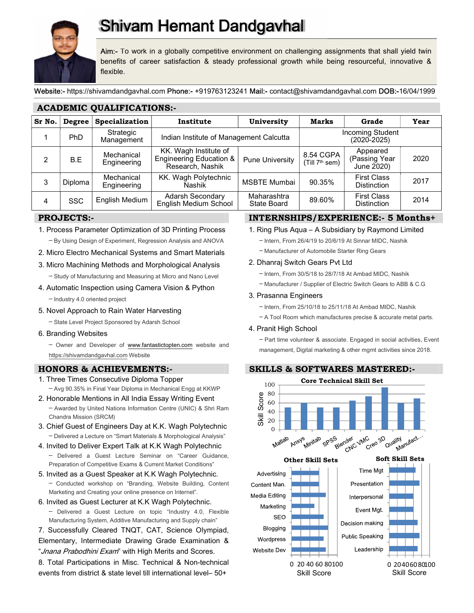

# **Shivam Hemant Dandgavhal**

Aim:- To work in a globally competitive environment on challenging assignments that shall yield twin benefits of career satisfaction & steady professional growth while being resourceful, innovative & flexible.

Website:- https://shivamdandgavhal.com Phone:- +919763123241 Mail:- contact@shivamdandgavhal.com DOB:-16/04/1999

| ACADEMIC QUALIFICATIONS. |            |                           |                                                                                 |                            |                                         |                                          |      |
|--------------------------|------------|---------------------------|---------------------------------------------------------------------------------|----------------------------|-----------------------------------------|------------------------------------------|------|
| Sr No.                   | Degree     | Specialization            | Institute                                                                       | University                 | Marks                                   | Grade                                    | Year |
|                          | PhD        | Strategic<br>Management   | Indian Institute of Management Calcutta                                         |                            | <b>Incoming Student</b><br>(2020-2025)  |                                          |      |
| 2                        | B.E        | Mechanical<br>Engineering | KK. Wagh Institute of<br><b>Engineering Education &amp;</b><br>Research, Nashik | <b>Pune University</b>     | 8.54 CGPA<br>(Till 7 <sup>th</sup> sem) | Appeared<br>(Passing Year<br>June 2020)  | 2020 |
| 3                        | Diploma    | Mechanical<br>Engineering | KK. Wagh Polytechnic<br>Nashik                                                  | <b>MSBTE Mumbai</b>        | 90.35%                                  | <b>First Class</b><br><b>Distinction</b> | 2017 |
| 4                        | <b>SSC</b> | English Medium            | Adarsh Secondary<br>English Medium School                                       | Maharashtra<br>State Board | 89.60%                                  | <b>First Class</b><br><b>Distinction</b> | 2014 |

# PROJECTS:-

- 1. Process Parameter Optimization of 3D Printing Process ─ By Using Design of Experiment, Regression Analysis and ANOVA
- 2. Micro Electro Mechanical Systems and Smart Materials
- 3. Micro Machining Methods and Morphological Analysis
	- ─ Study of Manufacturing and Measuring at Micro and Nano Level
- 4. Automatic Inspection using Camera Vision & Python
	- ─ Industry 4.0 oriented project
- 5. Novel Approach to Rain Water Harvesting

ACADEMIC QUALIFICATIONS:-

- ─ State Level Project Sponsored by Adarsh School
- 6. Branding Websites

- Owner and Developer of www.fantastictopten.com website and https://shivamdandgavhal.com Website

# HONORS & ACHIEVEMENTS:-

- 1. Three Times Consecutive Diploma Topper
- $-$  Avg 90.35% in Final Year Diploma in Mechanical Engg at KKWP<br>  $-$  Avg 90.35% in Final Year Diploma in Mechanical Engg at KKWP<br>  $-$  Awarded by United Nations Information Centre (UNIC) & Shri Ram<br>  $-$  Awarded by United N 2. Honorable Mentions in All India Essay Writing Event  $\frac{5}{6}$   $\frac{8}{60}$  $-$  Awarded by United Nations Information Centre (UNIC) & Shri Ram<br>Chandra Mission (SRCM)  $\equiv$ <br>Chief Cuest of Engineers Daviet K.K. Wagh Polytechnic Chandra Mission (SRCM)
- 3. Chief Guest of Engineers Day at K.K. Wagh Polytechnic
- 4. Invited to Deliver Expert Talk at K.K Wagh Polytechnic
- ─ Delivered a Guest Lecture Seminar on "Career Guidance, Preparation of Competitive Exams & Current Market Conditions"
- 5. Invited as a Guest Speaker at K.K Wagh Polytechnic. ─ Conducted workshop on "Branding, Website Building, Content Marketing and Creating your online presence on Internet".
- 6. Invited as Guest Lecturer at K.K Wagh Polytechnic. — Delivered a Guest Lecture on topic "Industry 4.0, Flexible Marketing BEO Number of Line Country SEO Manufacturing System, Additive Manufacturing and Supply chain"
- 7. Successfully Cleared TNQT, CAT, Science Olympiad, Elementary, Intermediate Drawing Grade Examination & Wordpress<br>"Jnana Prabodhini Exam" with High Merits and Scores. Website Dev

8. Total Participations in Misc. Technical & Non-technical events from district & state level till international level– 50+

# INTERNSHIPS/EXPERIENCE:- 5 Months+

- 1. Ring Plus Aqua A Subsidiary by Raymond Limited
	- ─ Intern, From 26/4/19 to 20/6/19 At Sinnar MIDC, Nashik
	- ─ Manufacturer of Automobile Starter Ring Gears

# 2. Dhanraj Switch Gears Pvt Ltd

- ─ Intern, From 30/5/18 to 28/7/18 At Ambad MIDC, Nashik
- ─ Manufacturer / Supplier of Electric Switch Gears to ABB & C.G

# 3. Prasanna Engineers

- ─ Intern, From 25/10/18 to 25/11/18 At Ambad MIDC, Nashik
- ─ A Tool Room which manufactures precise & accurate metal parts.

# 4. Pranit High School

─ Part time volunteer & associate. Engaged in social activities, Event management, Digital marketing & other mgmt activities since 2018.

# SKILLS & SOFTWARES MASTERED:-